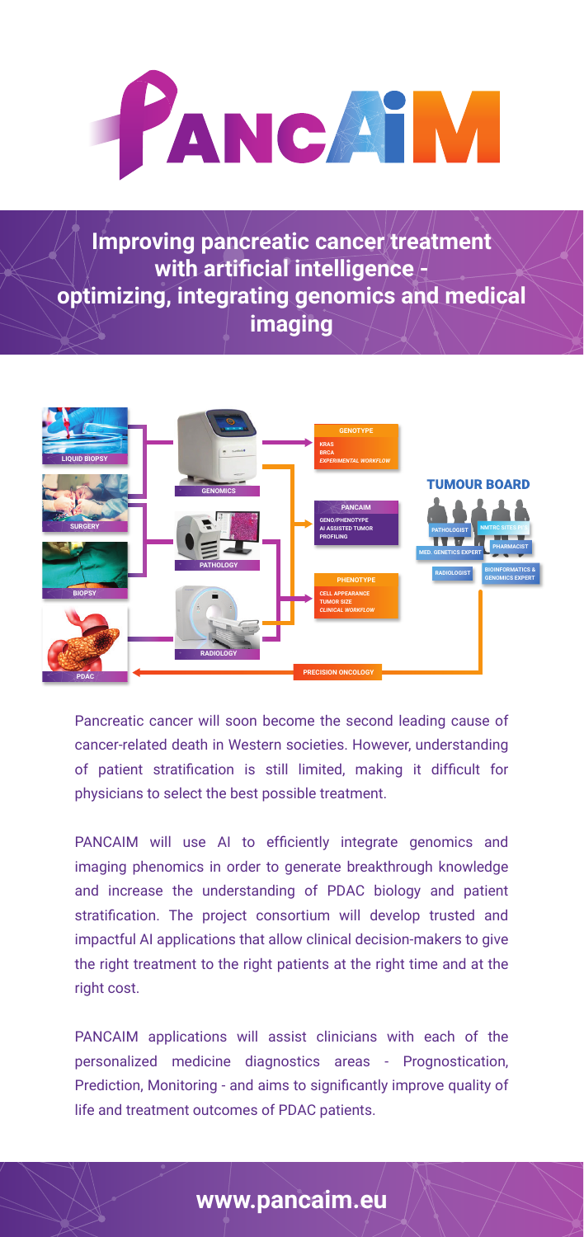

**Improving pancreatic cancer treatment with artificial intelligence optimizing, integrating genomics and medical imaging**



Pancreatic cancer will soon become the second leading cause of cancer-related death in Western societies. However, understanding of patient stratification is still limited, making it difficult for physicians to select the best possible treatment.

PANCAIM will use AI to efficiently integrate genomics and imaging phenomics in order to generate breakthrough knowledge and increase the understanding of PDAC biology and patient stratification. The project consortium will develop trusted and impactful AI applications that allow clinical decision-makers to give the right treatment to the right patients at the right time and at the right cost.

PANCAIM applications will assist clinicians with each of the personalized medicine diagnostics areas - Prognostication, Prediction, Monitoring - and aims to significantly improve quality of life and treatment outcomes of PDAC patients.

#### **www.pancaim.eu**